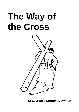# **The Way of the Cross**



**St Laurence Church, Downton**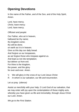# **Opening Devotions**

In the name of the Father, and of the Son, and of the Holy Spirit, Amen.

Lord, have mercy. *Christ, have mercy.* Lord, have mercy.

#### *Officiant and people:*

Our Father, who art in heaven, hallowed be thy name; thy kingdom come; thy will be done; on earth as it is in heaven. Give us this day our daily bread. And forgive us our trespasses, as we forgive those who trespass against us. And lead us not into temptation; but deliver us from evil. For thine is the kingdom, the power, and the glory for ever and ever. Amen.

- V. We will glory in the cross of our Lord Jesus Christ:
- *R. In whom is our salvation, our life and resurrection.*

Let us pray *(silence)*

Assist us mercifully with your help, O Lord God of our salvation, that we may enter with joy upon the contemplation of those mighty acts, whereby you have given us life and immortality; through Jesus Christ our Lord. Amen.

*We go to the First Station.*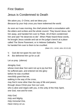#### First Station

# Jesus is Condemned to Death

We adore you, O Christ, and we bless you: *Because by your holy cross you have redeemed the world.*

As soon as it was morning, the chief priests held a consultation with the elders and scribes and the whole council. They bound Jesus, led him away, and handed him over to Pilate. All of them condemned him and said "He deserves to die". When Pilate heard these words, he brought Jesus outside and sat on the judge's bench at a place called The Stone Pavement, or in Hebrew Gabbatha. Then he handed him over to them to be crucified.

*(Mark 15:1, 14:64; John 19:13,16)*

- V. God did not spare his own Son:
- *R. But delivered him up for us all.*

Let us pray *(silence)*

Almighty God,

whose most dear Son went not up to joy but first he suffered pain, and entered not into glory before he was crucified: mercifully grant that we, walking in the way of the cross, may find it none other than the way of life and peace;

through Jesus Christ your Son our Lord,

who is alive and reigns with you, in the unity of the Holy Spirit, one God, now and for ever.

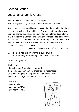#### Second Station

### Jesus takes up his Cross

We adore you, O Christ, and we bless you: *Because by your holy cross you have redeemed the world.*

Jesus went out, bearing his own cross to the place called the place of a skull, which is called in Hebrew Golgotha. Although he was a Son, he learned obedience through what he suffered. Like a lamb that is led to the slaughter, and like a sheep that before its shearers is dumb, so he opened not his mouth. Worthy is the Lamb who was slain, to receive power and wealth and wisdom and might and honour and glory and blessing!

*(John 19:17; Hebrews 5:8; Isaiah 53:7; Revelation 5:12)*

- V. The Lord has laid on him the iniquity of us all:
- *R. For the transgression of my people was he stricken.*

Let us pray *(silence)*

Almighty God, whose beloved Son willingly endured the agony and shame of the cross for our redemption: Give us courage to take up our cross and follow him; who lives and reigns for ever and ever. Amen.

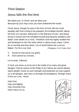# Third Station

# Jesus falls the first time

We adore you, O Christ, and we bless you: *Because by your holy cross you have redeemed the world.*

Christ Jesus, though he was in the form of God, did not count equality with God a thing to be grasped, but emptied himself, taking the form of a servant, being born in the likeness of men. And being found in human form he humbled himself and became obedient unto death, even death on a cross. Therefore God has highly exalted him and bestowed on him the name which is above every name. Come, let us worship and bow down; Let us kneel before the Lord our Maker. For he is our God. *(Philippians 2:5-9; Psalm 95:6)*

- V. Surely he has borne our griefs:
- *R. And carried our sorrows.*

Let us pray *(silence)*

O God, you know us to be set in the midst of so many and great dangers, that by reason of the frailty of our nature we cannot always stand upright: Grant us such strength and protection as may support us in all dangers, and carry us through all temptations; through Jesus Christ our Lord. Amen

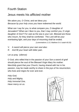# Fourth Station

# Jesus meets his afflicted mother

We adore you, O Christ, and we bless you: *Because by your holy cross you have redeemed the world.*

What can I say for you, to what compare you, O daughter of Jerusalem? What can I liken to you, that I may comfort you, O virgin daughter of Zion? For vast as the sea is your ruin. Blessed are those who mourn, for they shall be comforted. The Lord will be your everlasting light, and your days of mourning shall be ended.

*(Lamentations 2:13; Matthew 5:4; Isaiah 60:20)*

- V. A sword will pierce your own soul also:
- *R. And fill your heart with bitter pain.*

Let us pray *(silence)*

O God, who willed that in the passion of your Son a sword of grief should pierce the soul of the Blessed Virgin Mary his mother: Mercifully grant that your Church, having shared with her in his passion, may be made worthy to share in the joys of his resurrection; who lives and reigns for ever and ever.

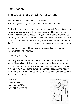#### Fifth Station

# The Cross is laid on Simon of Cyrene

We adore you, O Christ, and we bless you: *Because by your holy cross you have redeemed the world.*

As they led Jesus away, they came upon a man of Cyrene, Simon by name, who was coming in from the country, and laid on him the cross, to carry it behind Jesus. "If anyone would come after me, let him deny himself and take up his cross and follow me. Take my yoke upon you, and learn from me; for my yoke is easy, and my burden is light." *(Luke 23:26; Matthew 16:24; Matthew 11:29-30)*

- V. Whoever does not bear his own cross and come after me:
- *R. Cannot be my disciple.*

Let us pray *(silence)*

Heavenly Father, whose blessed Son came not to be served but to serve: Bless all who, following in his steps, give themselves to the service of others; that with wisdom, patience, and courage, they may minister in his Name to the suffering, the friendless, and the needy; for the love of him who laid down his life for us, your Son our Saviour Jesus Christ. Amen.

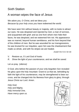# Sixth Station

# A woman wipes the face of Jesus

We adore you, O Christ, and we bless you: *Because by your holy cross you have redeemed the world.*

We have seen him without beauty or majesty, with no looks to attract our eyes. He was despised and rejected by men; a man of sorrows, and acquainted with grief; and as one from whom men hide their faces, he was despised, and we esteemed him not. His appearance was so marred, beyond human semblance, and his form beyond that of the children of men. But he was wounded for our transgressions, he was bruised for our iniquities; upon him was the chastisement that made us whole, and with his stripes we are healed.

*(Isaiah 53:2-3,5; 52:14)*

- V. Restore us, O Lord God of hosts:
- *R. Show the light of your countenance, and we shall be saved.*

Let us pray *(silence)*

O God, who before the passion of your only-begotten Son revealed his glory upon the holy mountain: Grant to us that we, beholding by faith the light of his countenance, may be strengthened to bear our cross, and be changed into his likeness from glory to glory; through Jesus Christ our Lord. Amen.

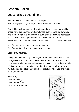#### Seventh Station

#### Jesus falls a second time

We adore you, O Christ, and we bless you: *Because by your holy cross you have redeemed the world.*

Surely He has borne our griefs and carried our sorrows; All we like sheep have gone astray; we have turned every one to his own way; and the Lord has laid on him the iniquity of us all. He was oppressed, and he was afflicted, yet he opened not His mouth. For the transgressions of my people he was stricken. *(Isaiah 53:4,6-8)*

- V. But as for me, I am a worm and no man:
- *R. Scorned by all and despised by the people.*

Let us pray *(silence)*

Almighty and everlasting God, in your tender love towards the human race you sent your Son our Saviour Jesus Christ to take upon him our nature, and to suffer death upon the cross, giving us the example of his great humility: Mercifully grant that we may walk in the way of his suffering, and also share in his resurrection; who lives and reigns for ever and ever.

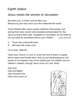# Eighth Station

#### Jesus meets the women of Jerusalem

We adore you, O Christ, and we bless you: *Because by your holy cross you have redeemed the world.*

There followed after Jesus a great multitude of the people, and among them were women who bewailed and lamented him. But Jesus turning to them said, "Daughters of Jerusalem, do not weep for me, but weep for yourselves and for your children." *(Luke 23:26-28)*

- V. Those who sowed with tears:
- *R. Will reap with songs of joy.*

Let us pray *(silence)*

Teach your Church, O Lord, to mourn the sins of which it is guilty, and to repent and forsake them; that, by your pardoning grace, the results of our iniquities may not be visited upon our children and our children's children; through Jesus Christ our Lord. Amen.

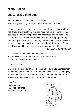### Ninth Station

# Jesus falls a third time

We adore you, O Christ, and we bless you: *Because by your holy cross you have redeemed the world.*

I am the man who has seen affliction under the rod of his wrath; he has driven and brought me into darkness without any light. He has besieged me and enveloped me with bitterness and tribulation; he has made me dwell in darkness like the dead of long ago. Though I call and cry for help, he shuts out my prayer. He has made my teeth grind on gravel, and made me cower in ashes. "Remember, O Lord, my affliction and bitterness, the wormwood and the gall!"

*(Lamentations 3:1-2,5-6,8,16,19)*

- V. He was led like a lamb to the slaughter:
- *R. And like a sheep that before its shearers is mute so he opened not his mouth.*

Let us pray *(silence)*

O God, by the passion of your blessed Son you made an instrument of shameful death to be for us the means of life: Grant us so to glory in the cross of Christ, that we may gladly suffer shame and loss for the sake of your Son our Saviour Jesus Christ. Amen.

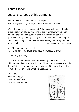# Tenth Station

# Jesus is stripped of his garments

We adore you, O Christ, and we bless you: *Because by your holy cross you have redeemed the world.*

When they came to a place called Golgotha (which means the place of the skull), they offered him wine to drink, mingled with gall; but when he tasted it, he would not drink it. And they divided his garments among them by casting lots. This was to fulfil the scripture which says, "They divided my garments among them; they cast lots for my clothing." *(Matthew 27:33-35; John 19:24)*

- V. They gave me gall to eat:
- *R. And when I was thirsty they gave me vinegar to drink.*

Let us pray *(silence)*

Lord God, whose blessed Son our Saviour gave his body to be whipped and his face to be spit upon: Give us grace to accept joyfully the sufferings of the present time, confident of the glory that shall be revealed; through Jesus Christ our Lord. Amen.

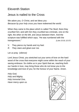# Eleventh Station

# Jesus is nailed to the Cross

We adore you, O Christ, and we bless you: *Because by your holy cross you have redeemed the world.*

When they came to the place which is called The Skull, there they crucified him; and with him they crucified two criminals, one on the right, the other on the left, and Jesus between them. And the scripture was fulfilled which says, "He was numbered with the transgressors." *(Luke 23:33; 22:37)*

- V. They pierce my hands and my feet:
- *R. They stare and gloat over me.*

Let us pray *(silence)*

Lord Jesus Christ, you stretched out your arms of love on the hard wood of the cross that everyone might come within the reach of your saving embrace: So clothe us in your Spirit that we, reaching forth our hands in love, may bring those who do not know you to the knowledge and love of you; for the honour of your Name. Amen.

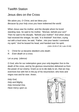# Twelfth Station

#### Jesus dies on the Cross

We adore you, O Christ, and we bless you: *Because by your holy cross you have redeemed the world.*

When Jesus saw his mother, and the disciple whom he loved standing near, he said to his mother, "Woman, behold your son!" Then he said to the disciple, "Behold your mother!" And when Jesus had received the vinegar, he said, "It is finished!" And then, crying out with a loud voice, he said, "Father , into your hands I commend my spirit." And he bowed his head, and handed over his spirit.

*(John 19:26-27,30; Luke 23:46)*

- V. Christ for us became obedient unto death:
- *R. Even death on a cross.*

Let us pray *(silence)*

O God, who for our redemption gave your only-begotten Son to the death of the cross, and by his glorious resurrection delivered us from the power of our enemy: Grant us so to die daily to sin, that we may evermore live with him in the joy of his resurrection; who lives and reigns now and for ever. Amen.

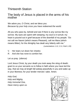# Thirteenth Station

#### The body of Jesus is placed in the arms of his mother

We adore you, O Christ, and we bless you: *Because by your holy cross you have redeemed the world.*

All you who pass by, behold and see if there is any sorrow like my sorrow. My eyes are spent with weeping; my soul is in tumult; my heart is poured out in grief because of the downfall of my people. "Do not call me Naomi (which means Pleasant), call me Mara (which means Bitter); for the Almighty has dealt very bitterly with me."

*(Lamentations 1:12, 2:11; Ruth 1:20)*

- V. Her tears run down her cheeks:
- *R. And she has none to comfort her.*

Let us pray *(silence)*

Lord Jesus Christ, by your death you took away the sting of death; grant to us your servants so to follow in faith where you have led the way, that we may at length fall asleep peacefully in you and wake up in your likeness; for your tender mercies' sake. Amen.

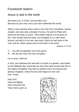#### Fourteenth Station

#### Jesus is laid in the tomb

We adore you, O Christ, and we bless you: *Because by your holy cross you have redeemed the world.*

When it was evening, there came a rich man from Arimathea, named Joseph, who also was a disciple of Jesus. He went to Pilate and asked for the body of Jesus. Then Pilate ordered it to be given to him. And Joseph took the body, and wrapped it in a clean linen shroud, and laid it in his own new tomb, which he had hewn in the rock; and he rolled a great stone to the door of the tomb.

*(Matthew 27:57-62)*

- V. You will not abandon me to the grave:
- *R. Nor let your holy One see corruption.*

Let us pray *(silence)*

O God, your blessed Son was laid in a tomb in a garden, and rested on the Sabbath day: Grant that we who have been buried with him in the waters of baptism may find our perfect rest in his eternal and glorious kingdom; where he lives and reigns for ever and ever. Amen.